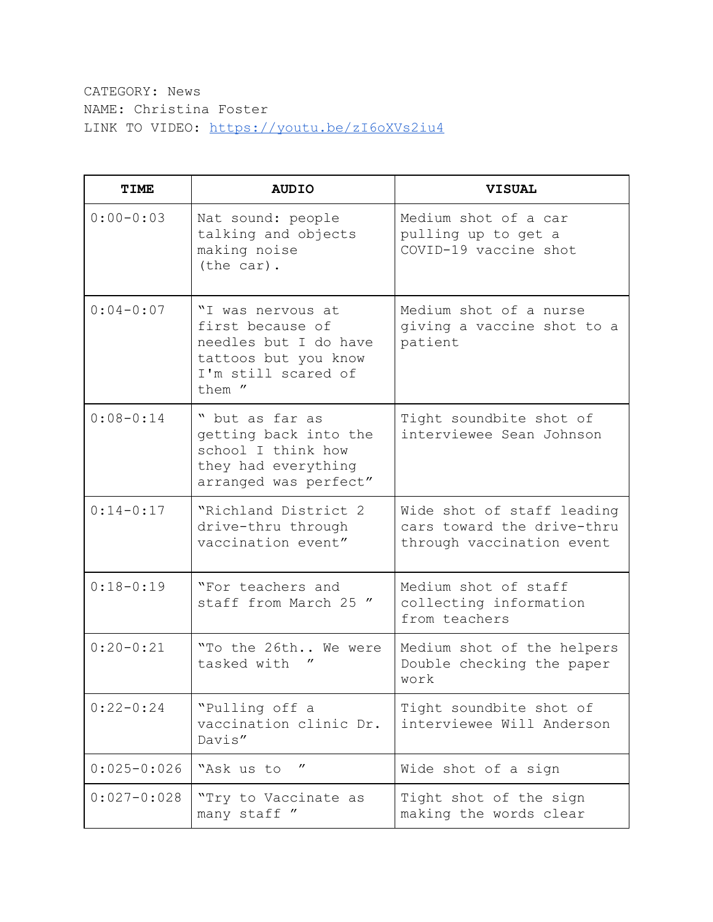CATEGORY: News NAME: Christina Foster LINK TO VIDEO: <https://youtu.be/zI6oXVs2iu4>

| <b>TIME</b>     | <b>AUDIO</b>                                                                                                            | <b>VISUAL</b>                                                                         |
|-----------------|-------------------------------------------------------------------------------------------------------------------------|---------------------------------------------------------------------------------------|
| $0:00-0:03$     | Nat sound: people<br>talking and objects<br>making noise<br>(the car).                                                  | Medium shot of a car<br>pulling up to get a<br>COVID-19 vaccine shot                  |
| $0:04 - 0:07$   | "I was nervous at<br>first because of<br>needles but I do have<br>tattoos but you know<br>I'm still scared of<br>them " | Medium shot of a nurse<br>giving a vaccine shot to a<br>patient                       |
| $0:08-0:14$     | " but as far as<br>getting back into the<br>school I think how<br>they had everything<br>arranged was perfect"          | Tight soundbite shot of<br>interviewee Sean Johnson                                   |
| $0:14-0:17$     | "Richland District 2<br>drive-thru through<br>vaccination event"                                                        | Wide shot of staff leading<br>cars toward the drive-thru<br>through vaccination event |
| $0:18-0:19$     | "For teachers and<br>staff from March 25 "                                                                              | Medium shot of staff<br>collecting information<br>from teachers                       |
| $0:20-0:21$     | "To the 26th We were<br>tasked with                                                                                     | Medium shot of the helpers<br>Double checking the paper<br>work                       |
| $0:22-0:24$     | "Pulling off a<br>vaccination clinic Dr.<br>Davis"                                                                      | Tight soundbite shot of<br>interviewee Will Anderson                                  |
| $0:025 - 0:026$ | "<br>"Ask us to                                                                                                         | Wide shot of a sign                                                                   |
| $0:027 - 0:028$ | "Try to Vaccinate as<br>many staff "                                                                                    | Tight shot of the sign<br>making the words clear                                      |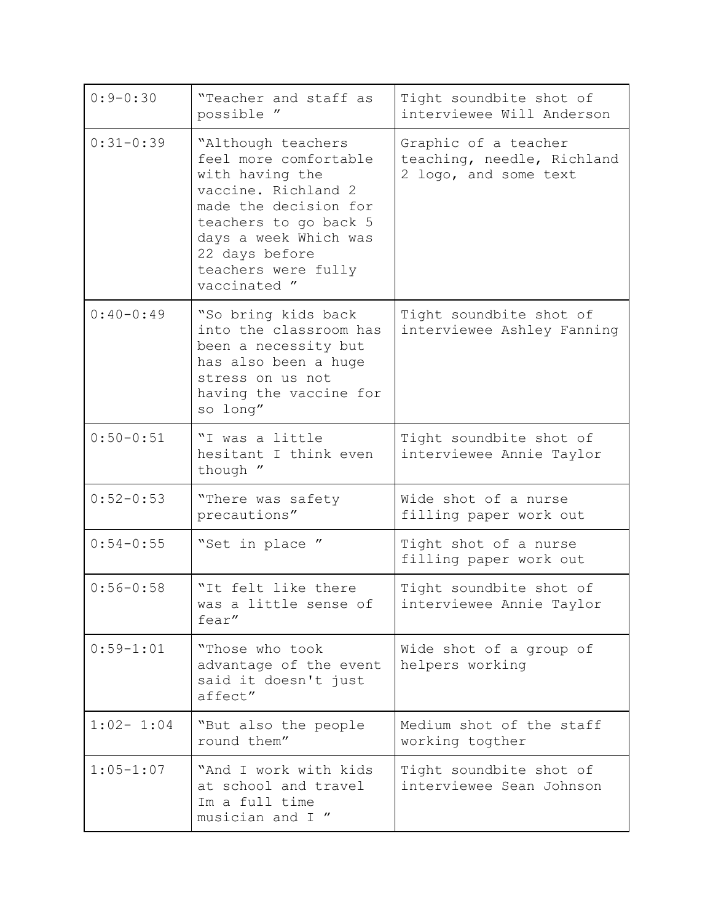| $0:9 - 0:30$  | "Teacher and staff as<br>possible "                                                                                                                                                                                       | Tight soundbite shot of<br>interviewee Will Anderson                        |
|---------------|---------------------------------------------------------------------------------------------------------------------------------------------------------------------------------------------------------------------------|-----------------------------------------------------------------------------|
| $0:31-0:39$   | "Although teachers<br>feel more comfortable<br>with having the<br>vaccine. Richland 2<br>made the decision for<br>teachers to go back 5<br>days a week Which was<br>22 days before<br>teachers were fully<br>vaccinated " | Graphic of a teacher<br>teaching, needle, Richland<br>2 logo, and some text |
| $0:40-0:49$   | "So bring kids back<br>into the classroom has<br>been a necessity but<br>has also been a huge<br>stress on us not<br>having the vaccine for<br>so long"                                                                   | Tight soundbite shot of<br>interviewee Ashley Fanning                       |
| $0:50 - 0:51$ | "I was a little<br>hesitant I think even<br>though "                                                                                                                                                                      | Tight soundbite shot of<br>interviewee Annie Taylor                         |
| $0:52-0:53$   | "There was safety<br>precautions"                                                                                                                                                                                         | Wide shot of a nurse<br>filling paper work out                              |
| $0:54 - 0:55$ | "Set in place "                                                                                                                                                                                                           | Tight shot of a nurse<br>filling paper work out                             |
| $0:56 - 0:58$ | "It felt like there<br>was a little sense of<br>fear"                                                                                                                                                                     | Tight soundbite shot of<br>interviewee Annie Taylor                         |
| $0:59 - 1:01$ | "Those who took<br>advantage of the event<br>said it doesn't just<br>affect"                                                                                                                                              | Wide shot of a group of<br>helpers working                                  |
| $1:02-1:04$   | "But also the people<br>round them"                                                                                                                                                                                       | Medium shot of the staff<br>working togther                                 |
| $1:05 - 1:07$ | "And I work with kids<br>at school and travel<br>Im a full time<br>musician and I "                                                                                                                                       | Tight soundbite shot of<br>interviewee Sean Johnson                         |